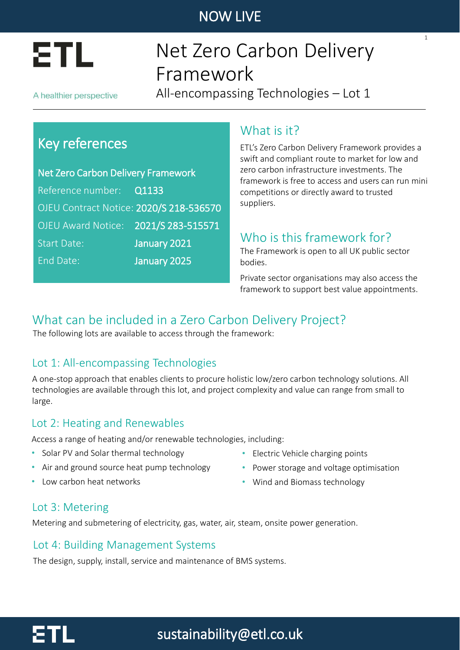

# Net Zero Carbon Delivery Framework

A healthier perspective

All-encompassing Technologies – Lot 1

## Key references

Net Zero Carbon Delivery Framework Reference number: Q1133 OJEU Contract Notice: 2020/S 218-536570 OJEU Award Notice: 2021/S 283-515571 Start Date: January 2021 End Date: January 2025

### What is it?

ETL's Zero Carbon Delivery Framework provides a swift and compliant route to market for low and zero carbon infrastructure investments. The framework is free to access and users can run mini competitions or directly award to trusted suppliers.

1

## Who is this framework for?

The Framework is open to all UK public sector bodies.

Private sector organisations may also access the framework to support best value appointments.

## What can be included in a Zero Carbon Delivery Project?

The following lots are available to access through the framework:

### Lot 1: All-encompassing Technologies

A one-stop approach that enables clients to procure holistic low/zero carbon technology solutions. All technologies are available through this lot, and project complexity and value can range from small to large.

### Lot 2: Heating and Renewables

Access a range of heating and/or renewable technologies, including:

- Solar PV and Solar thermal technology
- Air and ground source heat pump technology
- Low carbon heat networks
- Electric Vehicle charging points
- Power storage and voltage optimisation
- Wind and Biomass technology

#### Lot 3: Metering

Metering and submetering of electricity, gas, water, air, steam, onsite power generation.

#### Lot 4: Building Management Systems

The design, supply, install, service and maintenance of BMS systems.

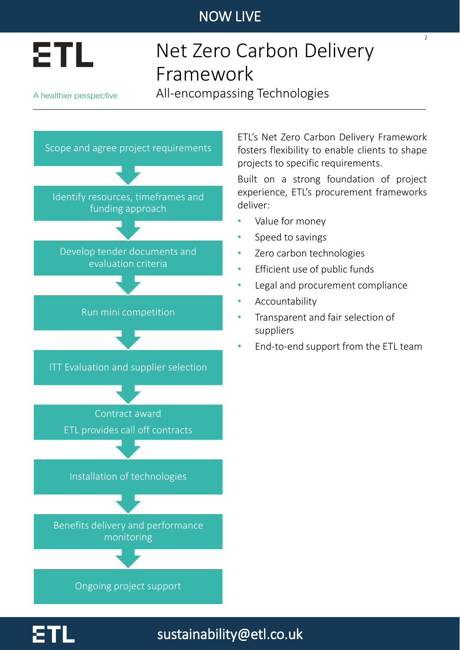

# Net Zero Carbon Delivery Framework

A healthier perspective

All-encompassing Technologies



ETL's Net Zero Carbon Delivery Framework fosters flexibility to enable clients to shape projects to specific requirements.

 $\overline{2}$ 

Built on a strong foundation of project experience, ETL's procurement frameworks deliver:

- Value for money
- Speed to savings
- Zero carbon technologies
- Efficient use of public funds
- Legal and procurement compliance
- **Accountability**

sustainability@etl.co.uk

- Transparent and fair selection of suppliers
- End-to-end support from the ETL team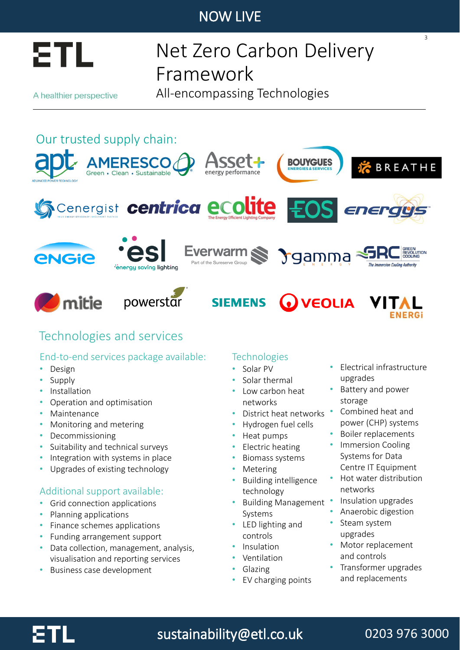

# Net Zero Carbon Delivery Framework

A healthier perspective

All-encompassing Technologies

# Our trusted supply chain:





### Technologies and services

#### End-to-end services package available:

- Design
- Supply
- **Installation**
- Operation and optimisation
- **Maintenance**
- Monitoring and metering
- Decommissioning
- Suitability and technical surveys
- Integration with systems in place
- Upgrades of existing technology

#### Additional support available:

- Grid connection applications
- Planning applications
- Finance schemes applications
- Funding arrangement support
- Data collection, management, analysis, visualisation and reporting services
- Business case development

#### **Technologies**

#### • Solar PV

- Solar thermal
- Low carbon heat networks
- District heat networks
- Hydrogen fuel cells
- Heat pumps
- Electric heating
- Biomass systems
- **Metering**
- Building intelligence technology
- Building Management Systems
- LED lighting and controls
- Insulation
- Ventilation
- Glazing
- EV charging points

• Electrical infrastructure upgrades

3

- Battery and power storage
- Combined heat and power (CHP) systems
- Boiler replacements
- **Immersion Cooling** Systems for Data Centre IT Equipment
- Hot water distribution networks
- Insulation upgrades
- Anaerobic digestion
- Steam system upgrades
- Motor replacement and controls
- Transformer upgrades and replacements



# sustainability@etl.co.uk

## 0203 976 3000